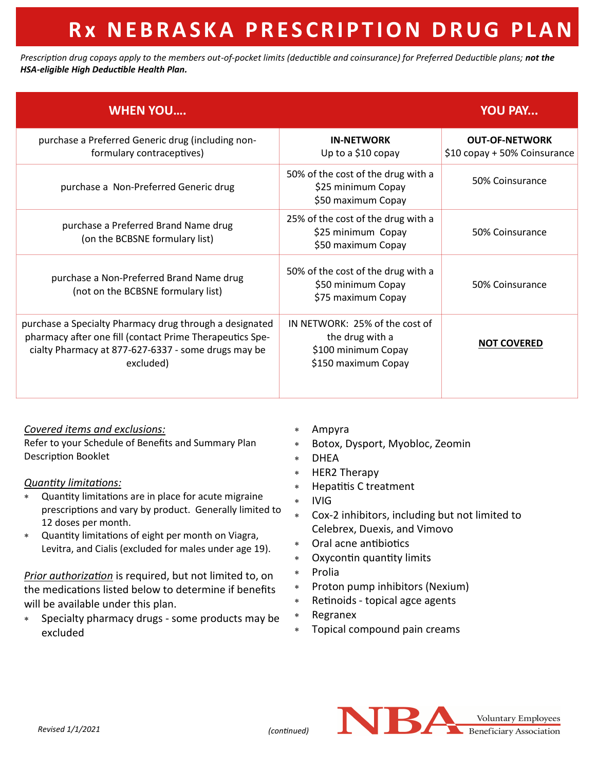# **R x N E B R A S K A P R E S C R I P T I O N D R U G P L A N**

*Prescription drug copays apply to the members out-of-pocket limits (deductible and coinsurance) for Preferred Deductible plans; not the HSA-eligible High Deductible Health Plan.*

| <b>WHEN YOU</b>                                                                                                                                                                         |                                                                                                 | <b>YOU PAY</b>                                        |
|-----------------------------------------------------------------------------------------------------------------------------------------------------------------------------------------|-------------------------------------------------------------------------------------------------|-------------------------------------------------------|
| purchase a Preferred Generic drug (including non-<br>formulary contraceptives)                                                                                                          | <b>IN-NETWORK</b><br>Up to a \$10 copay                                                         | <b>OUT-OF-NETWORK</b><br>\$10 copay + 50% Coinsurance |
| purchase a Non-Preferred Generic drug                                                                                                                                                   | 50% of the cost of the drug with a<br>\$25 minimum Copay<br>\$50 maximum Copay                  | 50% Coinsurance                                       |
| purchase a Preferred Brand Name drug<br>(on the BCBSNE formulary list)                                                                                                                  | 25% of the cost of the drug with a<br>\$25 minimum Copay<br>\$50 maximum Copay                  | 50% Coinsurance                                       |
| purchase a Non-Preferred Brand Name drug<br>(not on the BCBSNE formulary list)                                                                                                          | 50% of the cost of the drug with a<br>\$50 minimum Copay<br>\$75 maximum Copay                  | 50% Coinsurance                                       |
| purchase a Specialty Pharmacy drug through a designated<br>pharmacy after one fill (contact Prime Therapeutics Spe-<br>cialty Pharmacy at 877-627-6337 - some drugs may be<br>excluded) | IN NETWORK: 25% of the cost of<br>the drug with a<br>\$100 minimum Copay<br>\$150 maximum Copay | <b>NOT COVERED</b>                                    |

## *Covered items and exclusions:*

Refer to your Schedule of Benefits and Summary Plan Description Booklet

## *Quantity limitations:*

- Quantity limitations are in place for acute migraine prescriptions and vary by product. Generally limited to 12 doses per month.
- Quantity limitations of eight per month on Viagra, Levitra, and Cialis (excluded for males under age 19).

*Prior authorization* is required, but not limited to, on the medications listed below to determine if benefits will be available under this plan.

 Specialty pharmacy drugs - some products may be excluded

- Ampyra
- Botox, Dysport, Myobloc, Zeomin
- DHEA
- \* HER2 Therapy
- Hepatitis C treatment
- \* IVIG
- Cox-2 inhibitors, including but not limited to Celebrex, Duexis, and Vimovo
- Oral acne antibiotics
- Oxycontin quantity limits
- \* Prolia
- Proton pump inhibitors (Nexium)
- Retinoids topical agce agents
- Regranex
- Topical compound pain creams